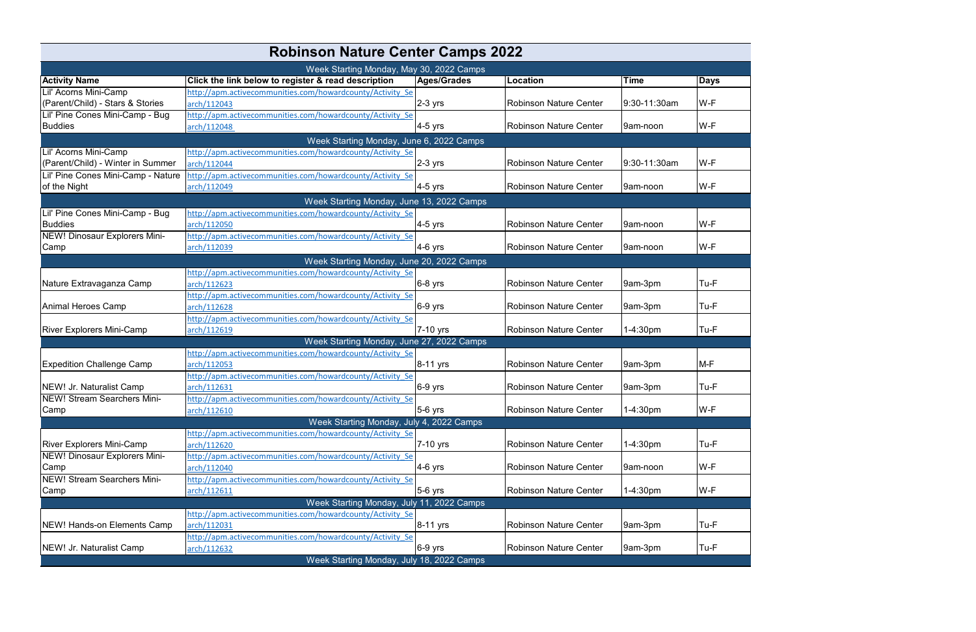| <b>Robinson Nature Center Camps 2022</b> |                                                                                                       |                    |                               |              |             |  |  |  |
|------------------------------------------|-------------------------------------------------------------------------------------------------------|--------------------|-------------------------------|--------------|-------------|--|--|--|
|                                          | Week Starting Monday, May 30, 2022 Camps                                                              |                    |                               |              |             |  |  |  |
| <b>Activity Name</b>                     | Click the link below to register & read description                                                   | <b>Ages/Grades</b> | Location                      | Time         | <b>Days</b> |  |  |  |
| Lil' Acorns Mini-Camp                    | http://apm.activecommunities.com/howardcounty/Activity Se                                             |                    |                               |              |             |  |  |  |
| (Parent/Child) - Stars & Stories         | arch/112043                                                                                           | $2-3$ yrs          | <b>Robinson Nature Center</b> | 9:30-11:30am | W-F         |  |  |  |
| Lil' Pine Cones Mini-Camp - Bug          | http://apm.activecommunities.com/howardcounty/Activity Se                                             |                    |                               |              |             |  |  |  |
| <b>Buddies</b>                           | arch/112048                                                                                           | $4-5$ yrs          | Robinson Nature Center        | 9am-noon     | W-F         |  |  |  |
|                                          | Week Starting Monday, June 6, 2022 Camps                                                              |                    |                               |              |             |  |  |  |
| Lil' Acorns Mini-Camp                    | http://apm.activecommunities.com/howardcounty/Activity Se                                             |                    |                               |              |             |  |  |  |
| (Parent/Child) - Winter in Summer        | arch/112044                                                                                           | $2-3$ yrs          | <b>Robinson Nature Center</b> | 9:30-11:30am | W-F         |  |  |  |
| Lil' Pine Cones Mini-Camp - Nature       | http://apm.activecommunities.com/howardcounty/Activity Se                                             |                    |                               |              |             |  |  |  |
| of the Night                             | arch/112049                                                                                           | $4-5$ yrs          | Robinson Nature Center        | 9am-noon     | W-F         |  |  |  |
|                                          | Week Starting Monday, June 13, 2022 Camps                                                             |                    |                               |              |             |  |  |  |
| Lil' Pine Cones Mini-Camp - Bug          | http://apm.activecommunities.com/howardcounty/Activity Se                                             |                    |                               |              |             |  |  |  |
| <b>Buddies</b>                           | arch/112050                                                                                           | $4-5$ yrs          | <b>Robinson Nature Center</b> | 9am-noon     | W-F         |  |  |  |
| NEW! Dinosaur Explorers Mini-            | http://apm.activecommunities.com/howardcounty/Activity Se                                             |                    |                               |              |             |  |  |  |
| Camp                                     | arch/112039                                                                                           | $4-6$ yrs          | <b>Robinson Nature Center</b> | 9am-noon     | W-F         |  |  |  |
|                                          | Week Starting Monday, June 20, 2022 Camps                                                             |                    |                               |              |             |  |  |  |
|                                          | http://apm.activecommunities.com/howardcounty/Activity Se                                             |                    |                               |              |             |  |  |  |
| Nature Extravaganza Camp                 | arch/112623                                                                                           | $6-8$ yrs          | <b>Robinson Nature Center</b> | 9am-3pm      | Tu-F        |  |  |  |
|                                          | http://apm.activecommunities.com/howardcounty/Activity Se                                             |                    |                               |              |             |  |  |  |
| <b>Animal Heroes Camp</b>                | arch/112628                                                                                           | $6-9$ yrs          | <b>Robinson Nature Center</b> | 9am-3pm      | Tu-F        |  |  |  |
|                                          | nttp://apm.activecommunities.com/howardcounty/Activity Se                                             |                    |                               |              |             |  |  |  |
| <b>River Explorers Mini-Camp</b>         | arch/112619                                                                                           | 7-10 yrs           | Robinson Nature Center        | 1-4:30pm     | Tu-F        |  |  |  |
|                                          | Week Starting Monday, June 27, 2022 Camps                                                             |                    |                               |              |             |  |  |  |
|                                          | http://apm.activecommunities.com/howardcounty/Activity Se                                             |                    |                               |              |             |  |  |  |
| <b>Expedition Challenge Camp</b>         | arch/112053                                                                                           | 8-11 yrs           | Robinson Nature Center        | 9am-3pm      | M-F         |  |  |  |
|                                          | http://apm.activecommunities.com/howardcounty/Activity Se                                             |                    |                               |              |             |  |  |  |
| NEW! Jr. Naturalist Camp                 | arch/112631                                                                                           | $ 6-9 $ yrs        | Robinson Nature Center        | 9am-3pm      | Tu-F        |  |  |  |
| <b>NEW! Stream Searchers Mini-</b>       | http://apm.activecommunities.com/howardcounty/Activity Se                                             |                    |                               |              |             |  |  |  |
| Camp                                     | arch/112610                                                                                           | $5-6$ yrs          | Robinson Nature Center        | 1-4:30pm     | W-F         |  |  |  |
|                                          | Week Starting Monday, July 4, 2022 Camps<br>http://apm.activecommunities.com/howardcounty/Activity Se |                    |                               |              |             |  |  |  |
| <b>River Explorers Mini-Camp</b>         | arch/112620                                                                                           | 7-10 yrs           | Robinson Nature Center        | 1-4:30pm     | Tu-F        |  |  |  |
| NEW! Dinosaur Explorers Mini-            | http://apm.activecommunities.com/howardcounty/Activity Se                                             |                    |                               |              |             |  |  |  |
| Camp                                     | arch/112040                                                                                           | $4-6$ yrs          | <b>Robinson Nature Center</b> | 9am-noon     | W-F         |  |  |  |
| <b>NEW! Stream Searchers Mini-</b>       | http://apm.activecommunities.com/howardcounty/Activity Se                                             |                    |                               |              |             |  |  |  |
| Camp                                     | arch/112611                                                                                           | $5-6$ yrs          | Robinson Nature Center        | 1-4:30pm     | W-F         |  |  |  |
|                                          | Week Starting Monday, July 11, 2022 Camps                                                             |                    |                               |              |             |  |  |  |
|                                          | http://apm.activecommunities.com/howardcounty/Activity Se                                             |                    |                               |              |             |  |  |  |
| <b>NEW! Hands-on Elements Camp</b>       | arch/112031                                                                                           | 8-11 yrs           | <b>Robinson Nature Center</b> | 9am-3pm      | Tu-F        |  |  |  |
|                                          | http://apm.activecommunities.com/howardcounty/Activity Se                                             |                    |                               |              |             |  |  |  |
| NEW! Jr. Naturalist Camp                 | arch/112632                                                                                           | $6-9$ yrs          | Robinson Nature Center        | 9am-3pm      | Tu-F        |  |  |  |
|                                          | Week Starting Monday, July 18, 2022 Camps                                                             |                    |                               |              |             |  |  |  |